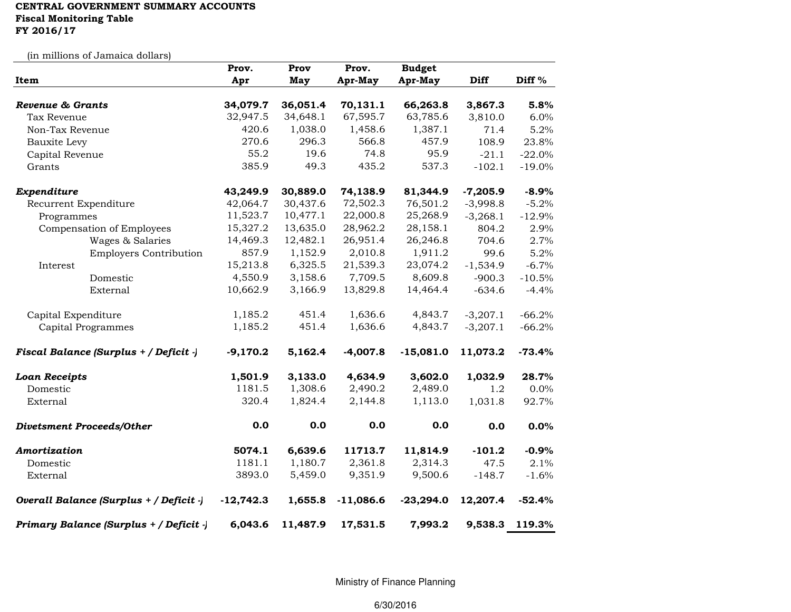## CENTRAL GOVERNMENT SUMMARY ACCOUNTS Fiscal Monitoring TableFY 2016/17

(in millions of Jamaica dollars)

|                                            | Prov.                | Prov                 | Prov.                | <b>Budget</b>        |                    |                   |
|--------------------------------------------|----------------------|----------------------|----------------------|----------------------|--------------------|-------------------|
| Item                                       | Apr                  | May                  | Apr-May              | Apr-May              | <b>Diff</b>        | Diff <sup>%</sup> |
|                                            |                      |                      |                      |                      |                    |                   |
| <b>Revenue &amp; Grants</b><br>Tax Revenue | 34,079.7<br>32,947.5 | 36,051.4<br>34,648.1 | 70,131.1<br>67,595.7 | 66,263.8<br>63,785.6 | 3,867.3<br>3,810.0 | 5.8%<br>6.0%      |
| Non-Tax Revenue                            | 420.6                | 1,038.0              | 1,458.6              | 1,387.1              | 71.4               | 5.2%              |
|                                            | 270.6                | 296.3                | 566.8                | 457.9                | 108.9              |                   |
| <b>Bauxite Levy</b>                        |                      |                      |                      |                      |                    | 23.8%             |
| Capital Revenue                            | 55.2                 | 19.6                 | 74.8                 | 95.9                 | $-21.1$            | $-22.0%$          |
| Grants                                     | 385.9                | 49.3                 | 435.2                | 537.3                | $-102.1$           | $-19.0%$          |
| Expenditure                                | 43,249.9             | 30,889.0             | 74,138.9             | 81,344.9             | $-7,205.9$         | $-8.9%$           |
| Recurrent Expenditure                      | 42,064.7             | 30,437.6             | 72,502.3             | 76,501.2             | $-3,998.8$         | $-5.2%$           |
| Programmes                                 | 11,523.7             | 10,477.1             | 22,000.8             | 25,268.9             | $-3,268.1$         | $-12.9%$          |
| Compensation of Employees                  | 15,327.2             | 13,635.0             | 28,962.2             | 28,158.1             | 804.2              | 2.9%              |
| Wages & Salaries                           | 14,469.3             | 12,482.1             | 26,951.4             | 26,246.8             | 704.6              | 2.7%              |
| <b>Employers Contribution</b>              | 857.9                | 1,152.9              | 2,010.8              | 1,911.2              | 99.6               | 5.2%              |
| Interest                                   | 15,213.8             | 6,325.5              | 21,539.3             | 23,074.2             | $-1,534.9$         | $-6.7%$           |
| Domestic                                   | 4,550.9              | 3,158.6              | 7,709.5              | 8,609.8              | $-900.3$           | $-10.5%$          |
| External                                   | 10,662.9             | 3,166.9              | 13,829.8             | 14,464.4             | $-634.6$           | $-4.4%$           |
| Capital Expenditure                        | 1,185.2              | 451.4                | 1,636.6              | 4,843.7              | $-3,207.1$         | $-66.2%$          |
| <b>Capital Programmes</b>                  | 1,185.2              | 451.4                | 1,636.6              | 4,843.7              | $-3,207.1$         | $-66.2%$          |
| Fiscal Balance (Surplus + / Deficit -)     | $-9,170.2$           | 5,162.4              | $-4,007.8$           | $-15,081.0$          | 11,073.2           | $-73.4%$          |
| <b>Loan Receipts</b>                       | 1,501.9              | 3,133.0              | 4,634.9              | 3,602.0              | 1,032.9            | 28.7%             |
| Domestic                                   | 1181.5               | 1,308.6              | 2,490.2              | 2,489.0              | 1.2                | $0.0\%$           |
| External                                   | 320.4                | 1,824.4              | 2,144.8              | 1,113.0              | 1,031.8            | 92.7%             |
| <b>Divetsment Proceeds/Other</b>           | 0.0                  | 0.0                  | 0.0                  | 0.0                  | 0.0                | 0.0%              |
| Amortization                               | 5074.1               | 6,639.6              | 11713.7              | 11,814.9             | $-101.2$           | $-0.9%$           |
| Domestic                                   | 1181.1               | 1,180.7              | 2,361.8              | 2,314.3              | 47.5               | 2.1%              |
| External                                   | 3893.0               | 5,459.0              | 9,351.9              | 9,500.6              | $-148.7$           | $-1.6%$           |
| Overall Balance (Surplus + / Deficit -)    | $-12,742.3$          | 1,655.8              | $-11,086.6$          | $-23,294.0$          | 12,207.4           | $-52.4%$          |
| Primary Balance (Surplus + / Deficit -)    | 6,043.6              | 11,487.9             | 17,531.5             | 7,993.2              | 9,538.3            | 119.3%            |

Ministry of Finance Planning

6/30/2016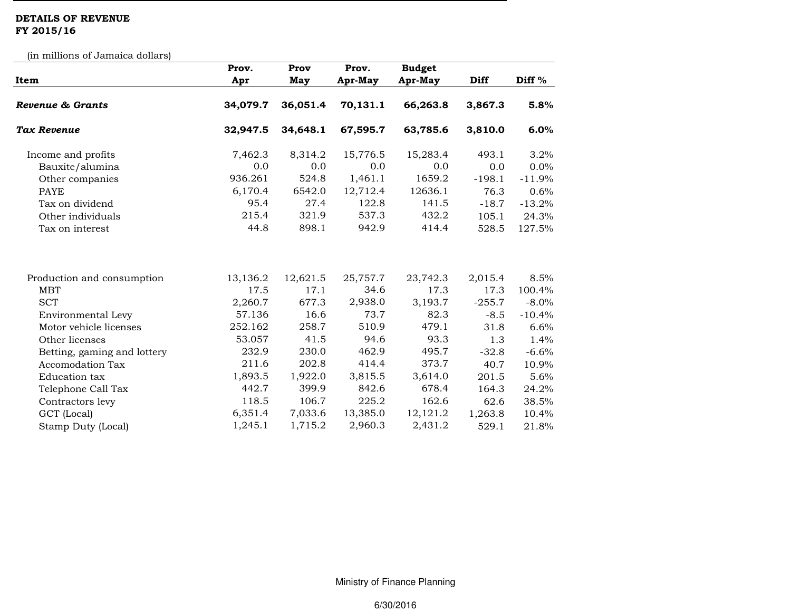## DETAILS OF REVENUE FY 2015/16

(in millions of Jamaica dollars)

| Item                        | Prov.<br>Apr | Prov<br>May | Prov.<br>Apr-May | <b>Budget</b><br>Apr-May | <b>Diff</b> | Diff <sup>%</sup> |
|-----------------------------|--------------|-------------|------------------|--------------------------|-------------|-------------------|
| Revenue & Grants            | 34,079.7     | 36,051.4    | 70,131.1         | 66,263.8                 | 3,867.3     | 5.8%              |
| <b>Tax Revenue</b>          | 32,947.5     | 34,648.1    | 67,595.7         | 63,785.6                 | 3,810.0     | 6.0%              |
| Income and profits          | 7,462.3      | 8,314.2     | 15,776.5         | 15,283.4                 | 493.1       | 3.2%              |
| Bauxite/alumina             | 0.0          | 0.0         | 0.0              | 0.0                      | 0.0         | 0.0%              |
| Other companies             | 936.261      | 524.8       | 1,461.1          | 1659.2                   | $-198.1$    | $-11.9%$          |
| <b>PAYE</b>                 | 6,170.4      | 6542.0      | 12,712.4         | 12636.1                  | 76.3        | 0.6%              |
| Tax on dividend             | 95.4         | 27.4        | 122.8            | 141.5                    | $-18.7$     | $-13.2%$          |
| Other individuals           | 215.4        | 321.9       | 537.3            | 432.2                    | 105.1       | 24.3%             |
| Tax on interest             | 44.8         | 898.1       | 942.9            | 414.4                    | 528.5       | 127.5%            |
| Production and consumption  | 13,136.2     | 12,621.5    | 25,757.7         | 23,742.3                 | 2,015.4     | 8.5%              |
| <b>MBT</b>                  | 17.5         | 17.1        | 34.6             | 17.3                     | 17.3        | 100.4%            |
| <b>SCT</b>                  | 2,260.7      | 677.3       | 2,938.0          | 3,193.7                  | $-255.7$    | $-8.0\%$          |
| Environmental Levy          | 57.136       | 16.6        | 73.7             | 82.3                     | $-8.5$      | $-10.4%$          |
| Motor vehicle licenses      | 252.162      | 258.7       | 510.9            | 479.1                    | 31.8        | 6.6%              |
| Other licenses              | 53.057       | 41.5        | 94.6             | 93.3                     | 1.3         | 1.4%              |
| Betting, gaming and lottery | 232.9        | 230.0       | 462.9            | 495.7                    | $-32.8$     | $-6.6%$           |
| <b>Accomodation Tax</b>     | 211.6        | 202.8       | 414.4            | 373.7                    | 40.7        | 10.9%             |
| Education tax               | 1,893.5      | 1,922.0     | 3,815.5          | 3,614.0                  | 201.5       | 5.6%              |
| Telephone Call Tax          | 442.7        | 399.9       | 842.6            | 678.4                    | 164.3       | 24.2%             |
| Contractors levy            | 118.5        | 106.7       | 225.2            | 162.6                    | 62.6        | 38.5%             |
| GCT (Local)                 | 6,351.4      | 7,033.6     | 13,385.0         | 12,121.2                 | 1,263.8     | 10.4%             |
| Stamp Duty (Local)          | 1,245.1      | 1,715.2     | 2,960.3          | 2,431.2                  | 529.1       | 21.8%             |

Ministry of Finance Planning

6/30/2016